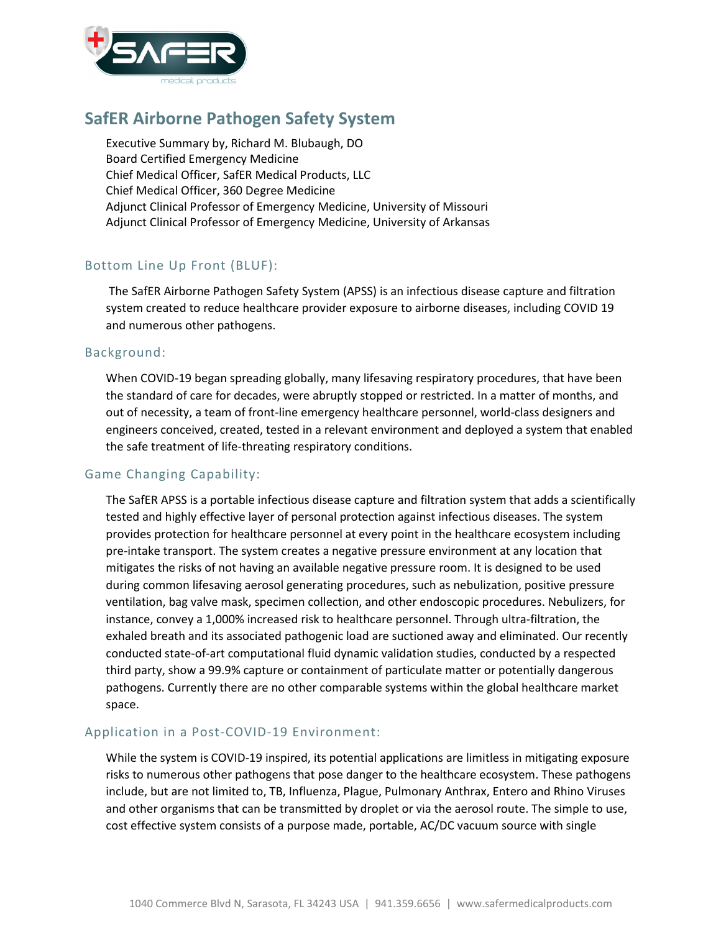

# **SafER Airborne Pathogen Safety System**

Executive Summary by, Richard M. Blubaugh, DO Board Certified Emergency Medicine Chief Medical Officer, SafER Medical Products, LLC Chief Medical Officer, 360 Degree Medicine Adjunct Clinical Professor of Emergency Medicine, University of Missouri Adjunct Clinical Professor of Emergency Medicine, University of Arkansas

## Bottom Line Up Front (BLUF):

The SafER Airborne Pathogen Safety System (APSS) is an infectious disease capture and filtration system created to reduce healthcare provider exposure to airborne diseases, including COVID 19 and numerous other pathogens.

#### Background:

When COVID-19 began spreading globally, many lifesaving respiratory procedures, that have been the standard of care for decades, were abruptly stopped or restricted. In a matter of months, and out of necessity, a team of front-line emergency healthcare personnel, world-class designers and engineers conceived, created, tested in a relevant environment and deployed a system that enabled the safe treatment of life-threating respiratory conditions.

### Game Changing Capability:

The SafER APSS is a portable infectious disease capture and filtration system that adds a scientifically tested and highly effective layer of personal protection against infectious diseases. The system provides protection for healthcare personnel at every point in the healthcare ecosystem including pre-intake transport. The system creates a negative pressure environment at any location that mitigates the risks of not having an available negative pressure room. It is designed to be used during common lifesaving aerosol generating procedures, such as nebulization, positive pressure ventilation, bag valve mask, specimen collection, and other endoscopic procedures. Nebulizers, for instance, convey a 1,000% increased risk to healthcare personnel. Through ultra-filtration, the exhaled breath and its associated pathogenic load are suctioned away and eliminated. Our recently conducted state-of-art computational fluid dynamic validation studies, conducted by a respected third party, show a 99.9% capture or containment of particulate matter or potentially dangerous pathogens. Currently there are no other comparable systems within the global healthcare market space.

### Application in a Post-COVID-19 Environment:

While the system is COVID-19 inspired, its potential applications are limitless in mitigating exposure risks to numerous other pathogens that pose danger to the healthcare ecosystem. These pathogens include, but are not limited to, TB, Influenza, Plague, Pulmonary Anthrax, Entero and Rhino Viruses and other organisms that can be transmitted by droplet or via the aerosol route. The simple to use, cost effective system consists of a purpose made, portable, AC/DC vacuum source with single